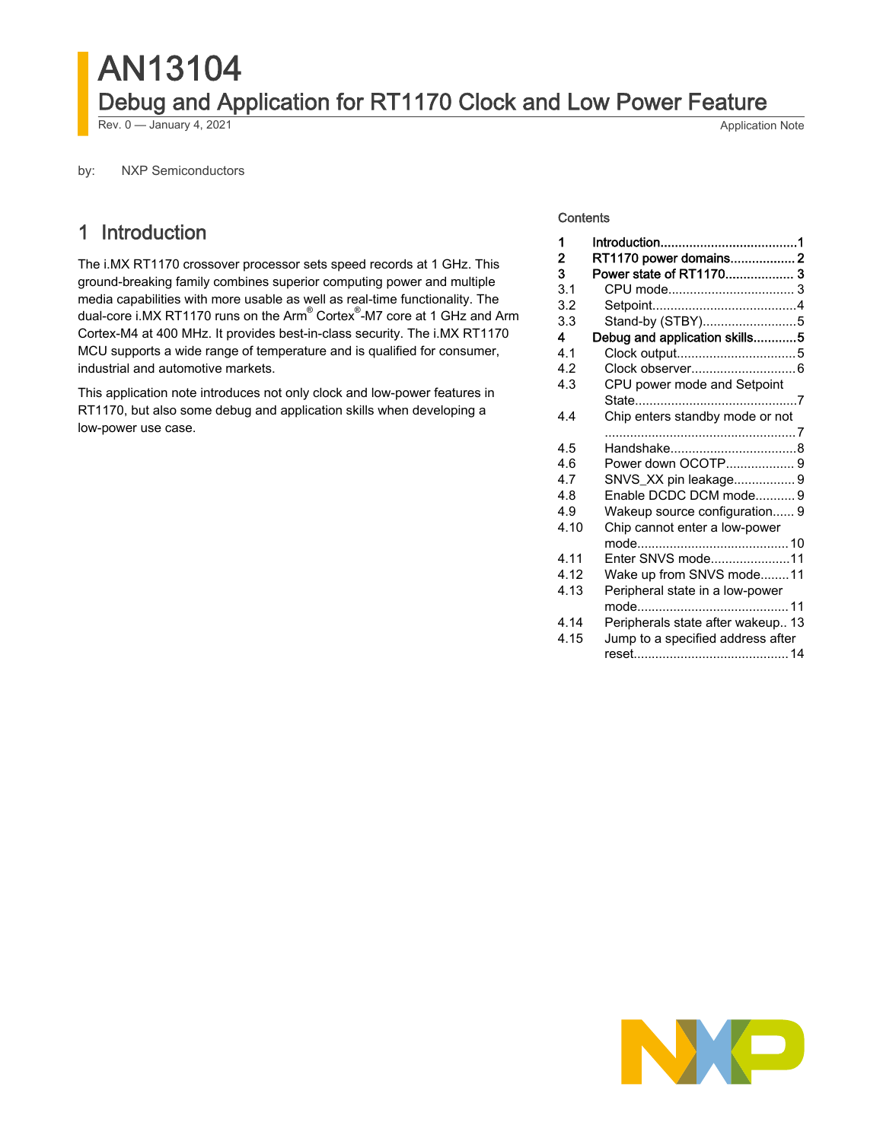# AN13104 Debug and Application for RT1170 Clock and Low Power Feature Rev. 0 — January 4, 2021 **Application Note**

by: NXP Semiconductors

# 1 Introduction

The i.MX RT1170 crossover processor sets speed records at 1 GHz. This ground-breaking family combines superior computing power and multiple media capabilities with more usable as well as real-time functionality. The dual-core i.MX RT1170 runs on the Arm<sup>®</sup> Cortex<sup>®</sup>-M7 core at 1 GHz and Arm Cortex-M4 at 400 MHz. It provides best-in-class security. The i.MX RT1170 MCU supports a wide range of temperature and is qualified for consumer, industrial and automotive markets.

This application note introduces not only clock and low-power features in RT1170, but also some debug and application skills when developing a low-power use case.

#### **Contents**

| 1<br>2 | RT1170 power domains 2            |
|--------|-----------------------------------|
| 3      | Power state of RT1170 3           |
| 3.1    |                                   |
| 3.2    |                                   |
| 3.3    | Stand-by (STBY)5                  |
| 4      | Debug and application skills5     |
| 4.1    |                                   |
| 4.2    |                                   |
| 4.3    | CPU power mode and Setpoint       |
|        |                                   |
| 4.4    | Chip enters standby mode or not   |
|        |                                   |
| 4.5    |                                   |
| 4.6    | Power down OCOTP 9                |
| 4.7    | SNVS_XX pin leakage 9             |
| 4.8    | Enable DCDC DCM mode9             |
| 4.9    | Wakeup source configuration 9     |
| 4.10   | Chip cannot enter a low-power     |
|        |                                   |
| 4.11   | Enter SNVS mode11                 |
| 4.12   | Wake up from SNVS mode11          |
| 4.13   | Peripheral state in a low-power   |
|        |                                   |
| 4.14   | Peripherals state after wakeup 13 |
| 4.15   | Jump to a specified address after |
|        |                                   |

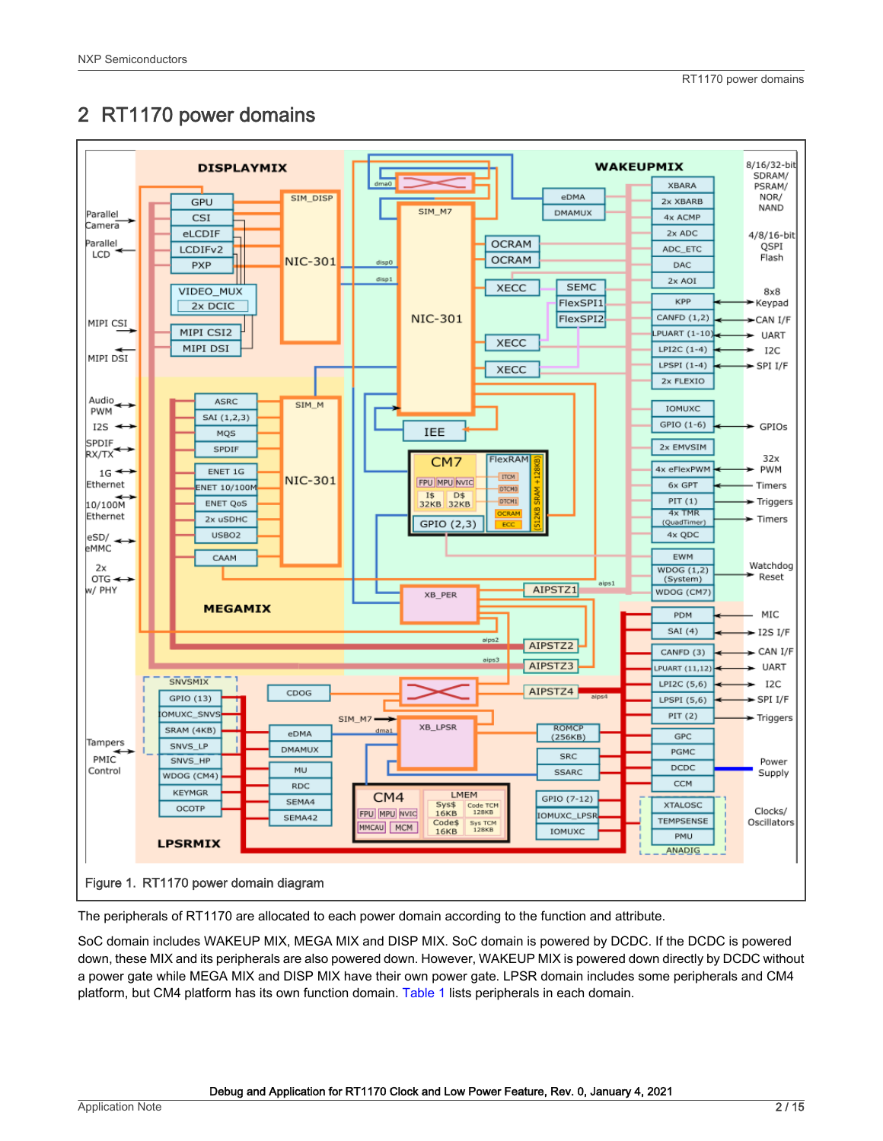# <span id="page-1-0"></span>2 RT1170 power domains



The peripherals of RT1170 are allocated to each power domain according to the function and attribute.

SoC domain includes WAKEUP MIX, MEGA MIX and DISP MIX. SoC domain is powered by DCDC. If the DCDC is powered down, these MIX and its peripherals are also powered down. However, WAKEUP MIX is powered down directly by DCDC without a power gate while MEGA MIX and DISP MIX have their own power gate. LPSR domain includes some peripherals and CM4 platform, but CM4 platform has its own function domain. [Table 1](#page-2-0) lists peripherals in each domain.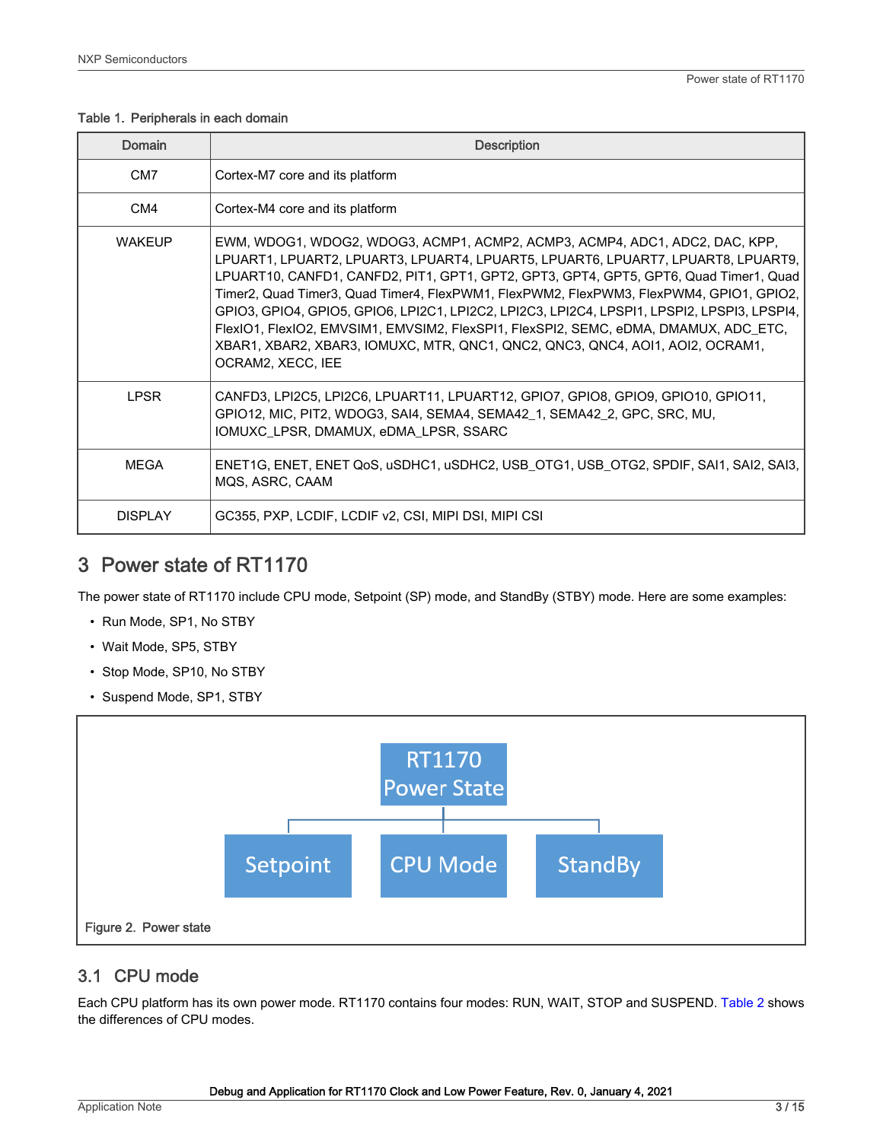#### <span id="page-2-0"></span>Table 1. Peripherals in each domain

| Domain         | <b>Description</b>                                                                                                                                                                                                                                                                                                                                                                                                                                                                                                                                                                                                                               |
|----------------|--------------------------------------------------------------------------------------------------------------------------------------------------------------------------------------------------------------------------------------------------------------------------------------------------------------------------------------------------------------------------------------------------------------------------------------------------------------------------------------------------------------------------------------------------------------------------------------------------------------------------------------------------|
| CM7            | Cortex-M7 core and its platform                                                                                                                                                                                                                                                                                                                                                                                                                                                                                                                                                                                                                  |
| CM4            | Cortex-M4 core and its platform                                                                                                                                                                                                                                                                                                                                                                                                                                                                                                                                                                                                                  |
| <b>WAKEUP</b>  | EWM, WDOG1, WDOG2, WDOG3, ACMP1, ACMP2, ACMP3, ACMP4, ADC1, ADC2, DAC, KPP,<br>LPUART1, LPUART2, LPUART3, LPUART4, LPUART5, LPUART6, LPUART7, LPUART8, LPUART9,<br>LPUART10, CANFD1, CANFD2, PIT1, GPT1, GPT2, GPT3, GPT4, GPT5, GPT6, Quad Timer1, Quad<br>Timer2, Quad Timer3, Quad Timer4, FlexPWM1, FlexPWM2, FlexPWM3, FlexPWM4, GPIO1, GPIO2,<br>GPIO3, GPIO4, GPIO5, GPIO6, LPI2C1, LPI2C2, LPI2C3, LPI2C4, LPSPI1, LPSPI2, LPSPI3, LPSPI4,<br>FlexIO1, FlexIO2, EMVSIM1, EMVSIM2, FlexSPI1, FlexSPI2, SEMC, eDMA, DMAMUX, ADC_ETC,<br>XBAR1, XBAR2, XBAR3, IOMUXC, MTR, QNC1, QNC2, QNC3, QNC4, AOI1, AOI2, OCRAM1,<br>OCRAM2, XECC, IEE |
| <b>LPSR</b>    | CANFD3, LPI2C5, LPI2C6, LPUART11, LPUART12, GPIO7, GPIO8, GPIO9, GPIO10, GPIO11,<br>GPIO12, MIC, PIT2, WDOG3, SAI4, SEMA4, SEMA42_1, SEMA42_2, GPC, SRC, MU,<br>IOMUXC LPSR, DMAMUX, eDMA LPSR, SSARC                                                                                                                                                                                                                                                                                                                                                                                                                                            |
| <b>MEGA</b>    | ENET1G, ENET, ENET QoS, uSDHC1, uSDHC2, USB_OTG1, USB_OTG2, SPDIF, SAI1, SAI2, SAI3,<br>MQS, ASRC, CAAM                                                                                                                                                                                                                                                                                                                                                                                                                                                                                                                                          |
| <b>DISPLAY</b> | GC355, PXP, LCDIF, LCDIF v2, CSI, MIPI DSI, MIPI CSI                                                                                                                                                                                                                                                                                                                                                                                                                                                                                                                                                                                             |

# 3 Power state of RT1170

The power state of RT1170 include CPU mode, Setpoint (SP) mode, and StandBy (STBY) mode. Here are some examples:

- Run Mode, SP1, No STBY
- Wait Mode, SP5, STBY
- Stop Mode, SP10, No STBY
- Suspend Mode, SP1, STBY



### 3.1 CPU mode

Each CPU platform has its own power mode. RT1170 contains four modes: RUN, WAIT, STOP and SUSPEND. [Table 2](#page-3-0) shows the differences of CPU modes.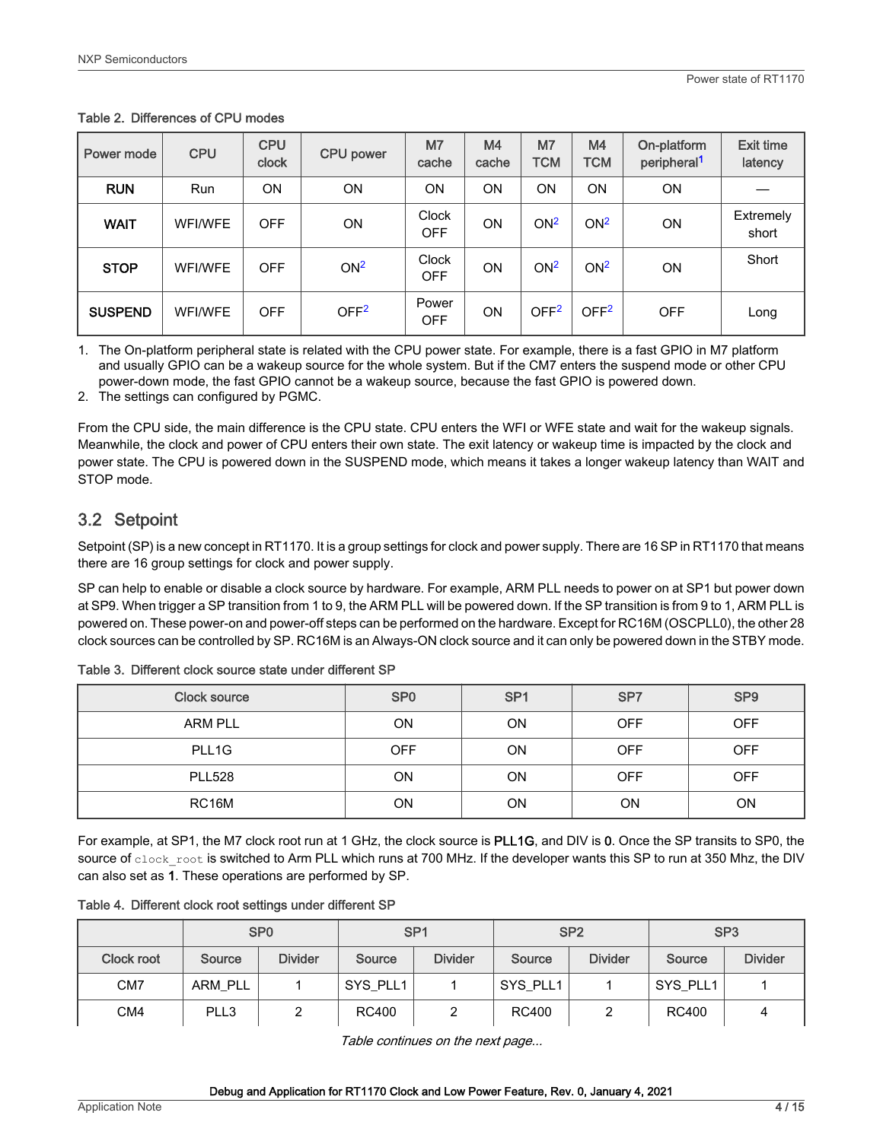| Power mode     | <b>CPU</b>     | <b>CPU</b><br>clock | <b>CPU</b> power | M <sub>7</sub><br>cache    | M <sub>4</sub><br>cache | M <sub>7</sub><br><b>TCM</b> | M4<br><b>TCM</b> | On-platform<br>peripheral <sup>1</sup> | <b>Exit time</b><br>latency |
|----------------|----------------|---------------------|------------------|----------------------------|-------------------------|------------------------------|------------------|----------------------------------------|-----------------------------|
| <b>RUN</b>     | Run            | ON                  | <b>ON</b>        | ON                         | ON                      | <b>ON</b>                    | ON               | <b>ON</b>                              |                             |
| <b>WAIT</b>    | <b>WFI/WFE</b> | <b>OFF</b>          | <b>ON</b>        | <b>Clock</b><br><b>OFF</b> | ON                      | ON <sup>2</sup>              | ON <sup>2</sup>  | <b>ON</b>                              | Extremely<br>short          |
| <b>STOP</b>    | <b>WFI/WFE</b> | <b>OFF</b>          | ON <sup>2</sup>  | <b>Clock</b><br><b>OFF</b> | ON                      | ON <sup>2</sup>              | ON <sup>2</sup>  | <b>ON</b>                              | Short                       |
| <b>SUSPEND</b> | <b>WFI/WFE</b> | <b>OFF</b>          | OFF <sup>2</sup> | Power<br><b>OFF</b>        | ON                      | OFF <sup>2</sup>             | OFF <sup>2</sup> | <b>OFF</b>                             | Long                        |

#### <span id="page-3-0"></span>Table 2. Differences of CPU modes

1. The On-platform peripheral state is related with the CPU power state. For example, there is a fast GPIO in M7 platform and usually GPIO can be a wakeup source for the whole system. But if the CM7 enters the suspend mode or other CPU power-down mode, the fast GPIO cannot be a wakeup source, because the fast GPIO is powered down.

2. The settings can configured by PGMC.

From the CPU side, the main difference is the CPU state. CPU enters the WFI or WFE state and wait for the wakeup signals. Meanwhile, the clock and power of CPU enters their own state. The exit latency or wakeup time is impacted by the clock and power state. The CPU is powered down in the SUSPEND mode, which means it takes a longer wakeup latency than WAIT and STOP mode.

### 3.2 Setpoint

Setpoint (SP) is a new concept in RT1170. It is a group settings for clock and power supply. There are 16 SP in RT1170 that means there are 16 group settings for clock and power supply.

SP can help to enable or disable a clock source by hardware. For example, ARM PLL needs to power on at SP1 but power down at SP9. When trigger a SP transition from 1 to 9, the ARM PLL will be powered down. If the SP transition is from 9 to 1, ARM PLL is powered on. These power-on and power-off steps can be performed on the hardware. Except for RC16M (OSCPLL0), the other 28 clock sources can be controlled by SP. RC16M is an Always-ON clock source and it can only be powered down in the STBY mode.

| <b>Clock source</b> | SP <sub>0</sub> | SP <sub>1</sub> | SP7        | SP <sub>9</sub> |
|---------------------|-----------------|-----------------|------------|-----------------|
| <b>ARM PLL</b>      | <b>ON</b>       | ON              | <b>OFF</b> | <b>OFF</b>      |
| PLL1G               | <b>OFF</b>      | ON              | <b>OFF</b> | <b>OFF</b>      |
| <b>PLL528</b>       | ON              | ON              | <b>OFF</b> | <b>OFF</b>      |
| RC16M               | <b>ON</b>       | ΟN              | ON         | ON              |

Table 3. Different clock source state under different SP

For example, at SP1, the M7 clock root run at 1 GHz, the clock source is PLL1G, and DIV is 0. Once the SP transits to SP0, the source of clock root is switched to Arm PLL which runs at 700 MHz. If the developer wants this SP to run at 350 Mhz, the DIV can also set as 1. These operations are performed by SP.

|  |  | Table 4. Different clock root settings under different SP |  |  |  |  |
|--|--|-----------------------------------------------------------|--|--|--|--|
|--|--|-----------------------------------------------------------|--|--|--|--|

|                 |         | SP <sub>0</sub> | SP <sub>1</sub> |                | SP <sub>2</sub> |                | SP <sub>3</sub> |                |
|-----------------|---------|-----------------|-----------------|----------------|-----------------|----------------|-----------------|----------------|
| Clock root      | Source  | <b>Divider</b>  | Source          | <b>Divider</b> | Source          | <b>Divider</b> | Source          | <b>Divider</b> |
| CM <sub>7</sub> | ARM PLL |                 | SYS PLL1        |                | SYS_PLL1        |                | SYS_PLL1        |                |
| CM4             | PLL3    |                 | <b>RC400</b>    |                | RC400           |                | RC400           |                |

Table continues on the next page...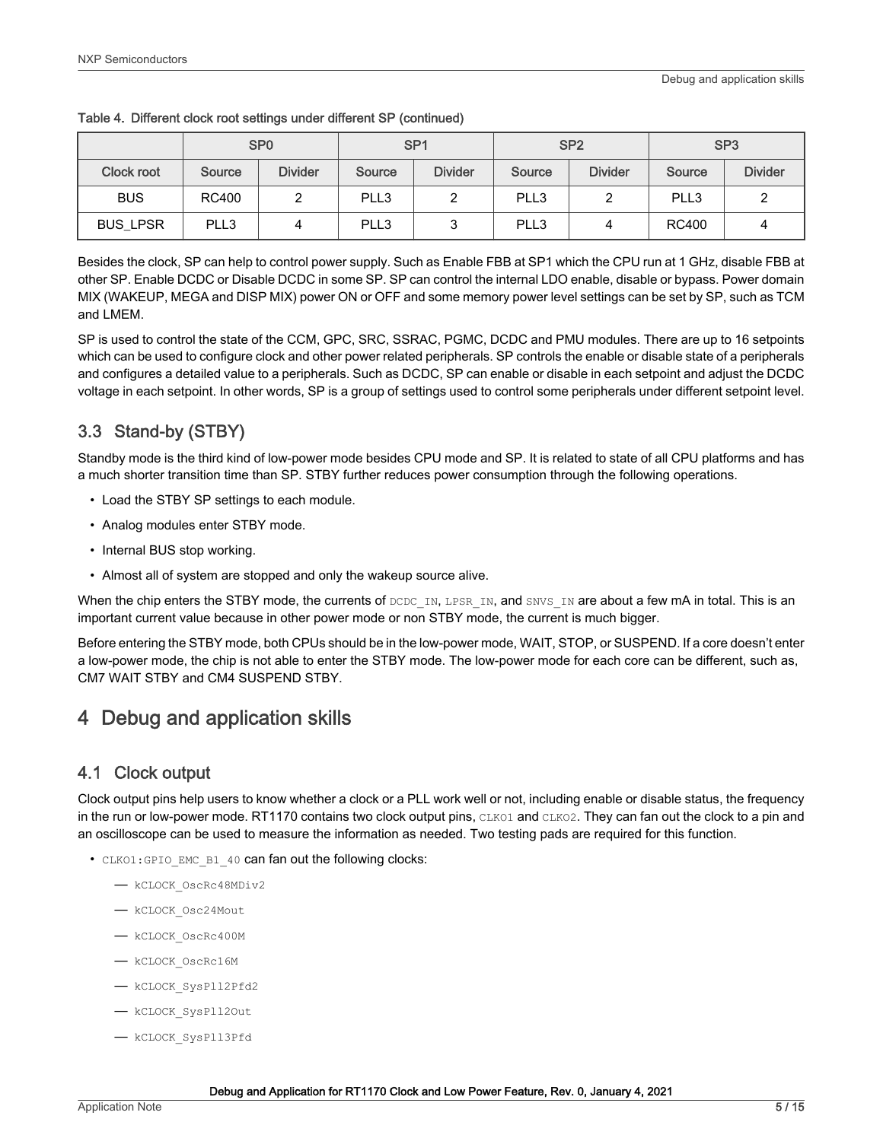|                   |        | SP <sub>0</sub> | SP <sub>1</sub> |                | SP <sub>2</sub> |                | SP <sub>3</sub> |                |
|-------------------|--------|-----------------|-----------------|----------------|-----------------|----------------|-----------------|----------------|
| <b>Clock root</b> | Source | <b>Divider</b>  | Source          | <b>Divider</b> | Source          | <b>Divider</b> | Source          | <b>Divider</b> |
| <b>BUS</b>        | RC400  |                 | PLL3            |                | PLL3            |                | PLL3            |                |
| <b>BUS LPSR</b>   | PLL3   | 4               | PLL3            |                | PLL3            | 4              | <b>RC400</b>    |                |

<span id="page-4-0"></span>

|  |  |  | Table 4. Different clock root settings under different SP (continued) |
|--|--|--|-----------------------------------------------------------------------|
|  |  |  |                                                                       |

Besides the clock, SP can help to control power supply. Such as Enable FBB at SP1 which the CPU run at 1 GHz, disable FBB at other SP. Enable DCDC or Disable DCDC in some SP. SP can control the internal LDO enable, disable or bypass. Power domain MIX (WAKEUP, MEGA and DISP MIX) power ON or OFF and some memory power level settings can be set by SP, such as TCM and LMEM.

SP is used to control the state of the CCM, GPC, SRC, SSRAC, PGMC, DCDC and PMU modules. There are up to 16 setpoints which can be used to configure clock and other power related peripherals. SP controls the enable or disable state of a peripherals and configures a detailed value to a peripherals. Such as DCDC, SP can enable or disable in each setpoint and adjust the DCDC voltage in each setpoint. In other words, SP is a group of settings used to control some peripherals under different setpoint level.

# 3.3 Stand-by (STBY)

Standby mode is the third kind of low-power mode besides CPU mode and SP. It is related to state of all CPU platforms and has a much shorter transition time than SP. STBY further reduces power consumption through the following operations.

- Load the STBY SP settings to each module.
- Analog modules enter STBY mode.
- Internal BUS stop working.
- Almost all of system are stopped and only the wakeup source alive.

When the chip enters the STBY mode, the currents of  $DCDC$  IN, LPSR IN, and SNVS IN are about a few mA in total. This is an important current value because in other power mode or non STBY mode, the current is much bigger.

Before entering the STBY mode, both CPUs should be in the low-power mode, WAIT, STOP, or SUSPEND. If a core doesn't enter a low-power mode, the chip is not able to enter the STBY mode. The low-power mode for each core can be different, such as, CM7 WAIT STBY and CM4 SUSPEND STBY.

# 4 Debug and application skills

### 4.1 Clock output

Clock output pins help users to know whether a clock or a PLL work well or not, including enable or disable status, the frequency in the run or low-power mode. RT1170 contains two clock output pins, CLKO1 and CLKO2. They can fan out the clock to a pin and an oscilloscope can be used to measure the information as needed. Two testing pads are required for this function.

- CLKO1:GPIO EMC B1 40 can fan out the following clocks:
	- kCLOCK\_OscRc48MDiv2
	- kCLOCK\_Osc24Mout
	- kCLOCK\_OscRc400M
	- kCLOCK\_OscRc16M
	- kCLOCK\_SysPll2Pfd2
	- kCLOCK\_SysPll2Out
	- kCLOCK\_SysPll3Pfd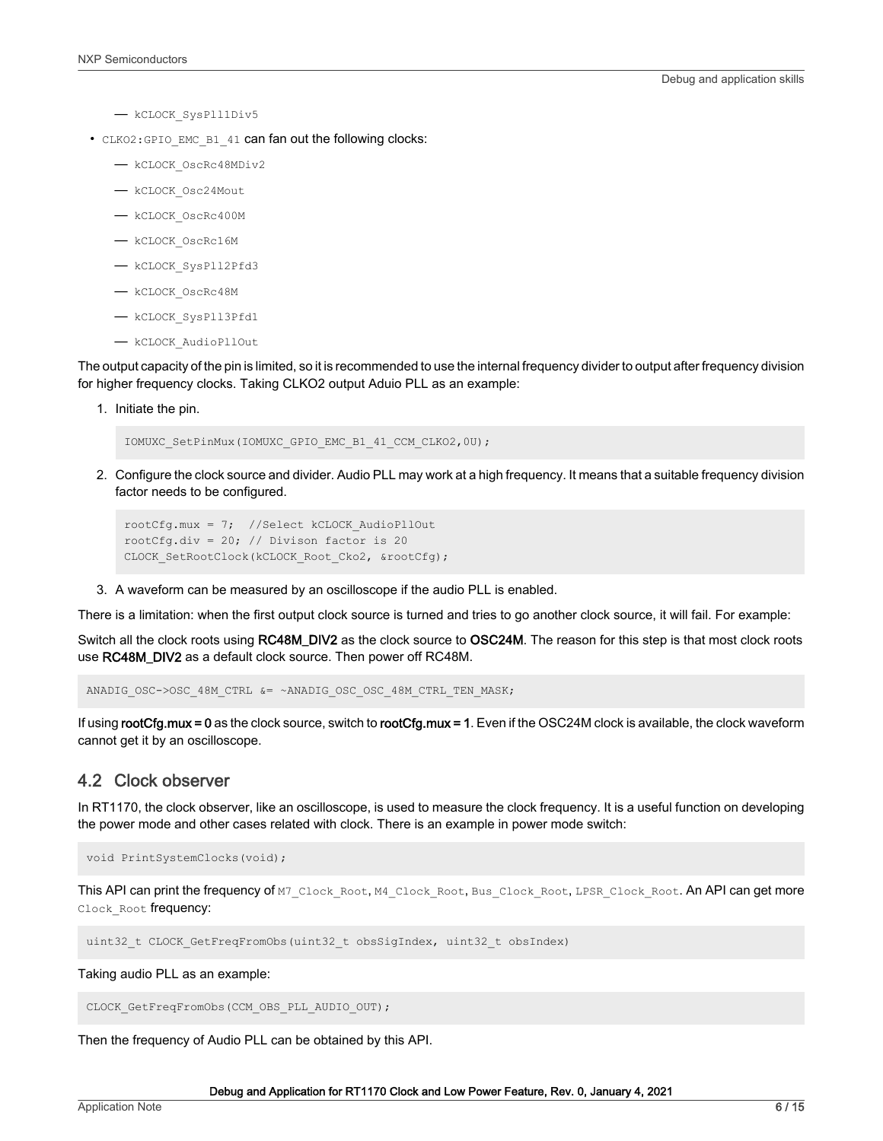- <span id="page-5-0"></span>— kCLOCK\_SysPll1Div5
- CLKO2:GPIO\_EMC\_B1\_41 can fan out the following clocks:
	- kCLOCK\_OscRc48MDiv2
	- kCLOCK\_Osc24Mout
	- kCLOCK\_OscRc400M
	- kCLOCK\_OscRc16M
	- kCLOCK\_SysPll2Pfd3
	- kCLOCK\_OscRc48M
	- kCLOCK\_SysPll3Pfd1
	- kCLOCK\_AudioPllOut

The output capacity of the pin is limited, so it is recommended to use the internal frequency divider to output after frequency division for higher frequency clocks. Taking CLKO2 output Aduio PLL as an example:

1. Initiate the pin.

IOMUXC\_SetPinMux(IOMUXC\_GPIO\_EMC\_B1\_41\_CCM\_CLKO2,0U);

2. Configure the clock source and divider. Audio PLL may work at a high frequency. It means that a suitable frequency division factor needs to be configured.

```
rootCfg.mux = 7; //Select kCLOCK_AudioPllOut
rootCfg.div = 20; // Divison factor is 20
CLOCK SetRootClock(kCLOCK Root Cko2, &rootCfg);
```
3. A waveform can be measured by an oscilloscope if the audio PLL is enabled.

There is a limitation: when the first output clock source is turned and tries to go another clock source, it will fail. For example:

Switch all the clock roots using RC48M\_DIV2 as the clock source to OSC24M. The reason for this step is that most clock roots use RC48M\_DIV2 as a default clock source. Then power off RC48M.

ANADIG\_OSC->OSC\_48M\_CTRL &= ~ANADIG\_OSC\_OSC\_48M\_CTRL\_TEN\_MASK;

If using rootCfg.mux = 0 as the clock source, switch to rootCfg.mux = 1. Even if the OSC24M clock is available, the clock waveform cannot get it by an oscilloscope.

#### 4.2 Clock observer

In RT1170, the clock observer, like an oscilloscope, is used to measure the clock frequency. It is a useful function on developing the power mode and other cases related with clock. There is an example in power mode switch:

void PrintSystemClocks(void);

This API can print the frequency of M7\_Clock\_Root, M4\_Clock\_Root, Bus\_Clock\_Root, LPSR\_Clock\_Root. An API can get more Clock Root frequency:

uint32 t CLOCK GetFreqFromObs(uint32 t obsSigIndex, uint32 t obsIndex)

Taking audio PLL as an example:

CLOCK GetFreqFromObs(CCM\_OBS\_PLL\_AUDIO\_OUT);

Then the frequency of Audio PLL can be obtained by this API.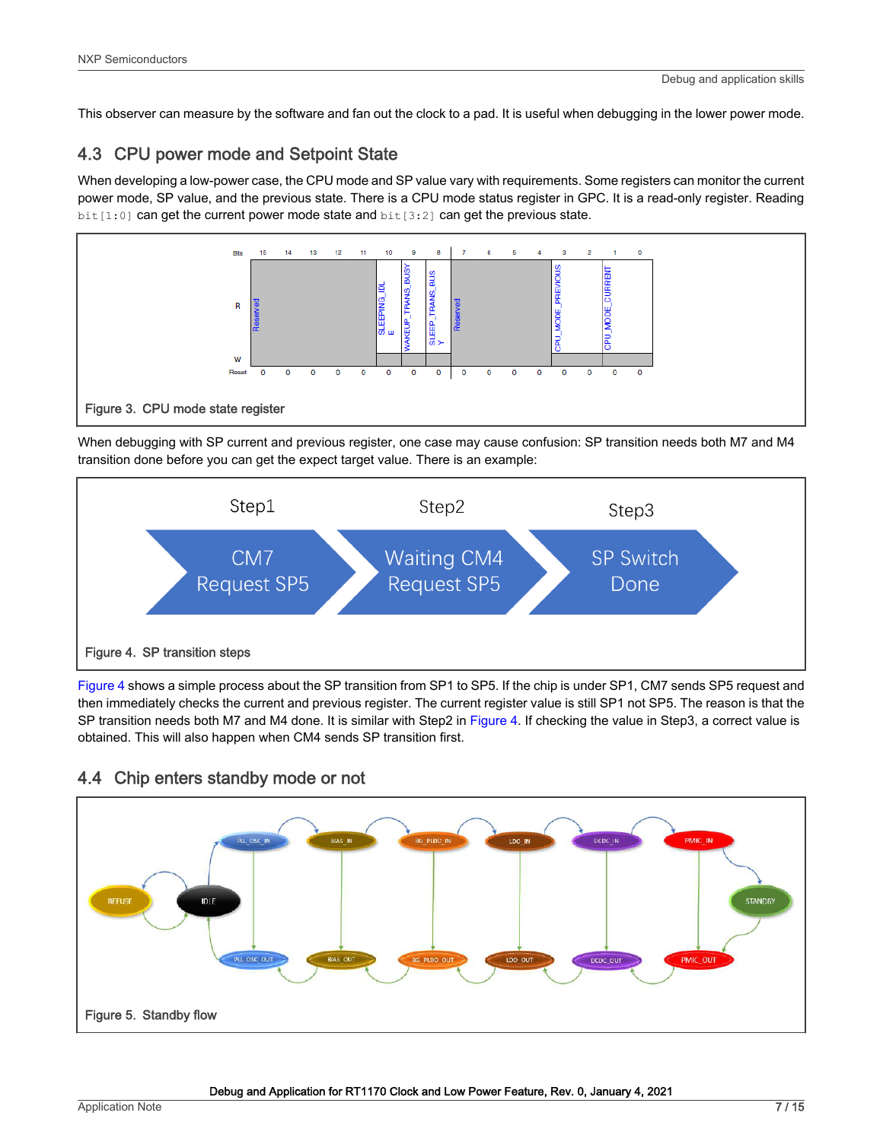<span id="page-6-0"></span>This observer can measure by the software and fan out the clock to a pad. It is useful when debugging in the lower power mode.

## 4.3 CPU power mode and Setpoint State

When developing a low-power case, the CPU mode and SP value vary with requirements. Some registers can monitor the current power mode, SP value, and the previous state. There is a CPU mode status register in GPC. It is a read-only register. Reading  $bit[1:0]$  can get the current power mode state and  $bit[3:2]$  can get the previous state.



When debugging with SP current and previous register, one case may cause confusion: SP transition needs both M7 and M4 transition done before you can get the expect target value. There is an example:



Figure 4 shows a simple process about the SP transition from SP1 to SP5. If the chip is under SP1, CM7 sends SP5 request and then immediately checks the current and previous register. The current register value is still SP1 not SP5. The reason is that the SP transition needs both M7 and M4 done. It is similar with Step2 in Figure 4. If checking the value in Step3, a correct value is obtained. This will also happen when CM4 sends SP transition first.



### 4.4 Chip enters standby mode or not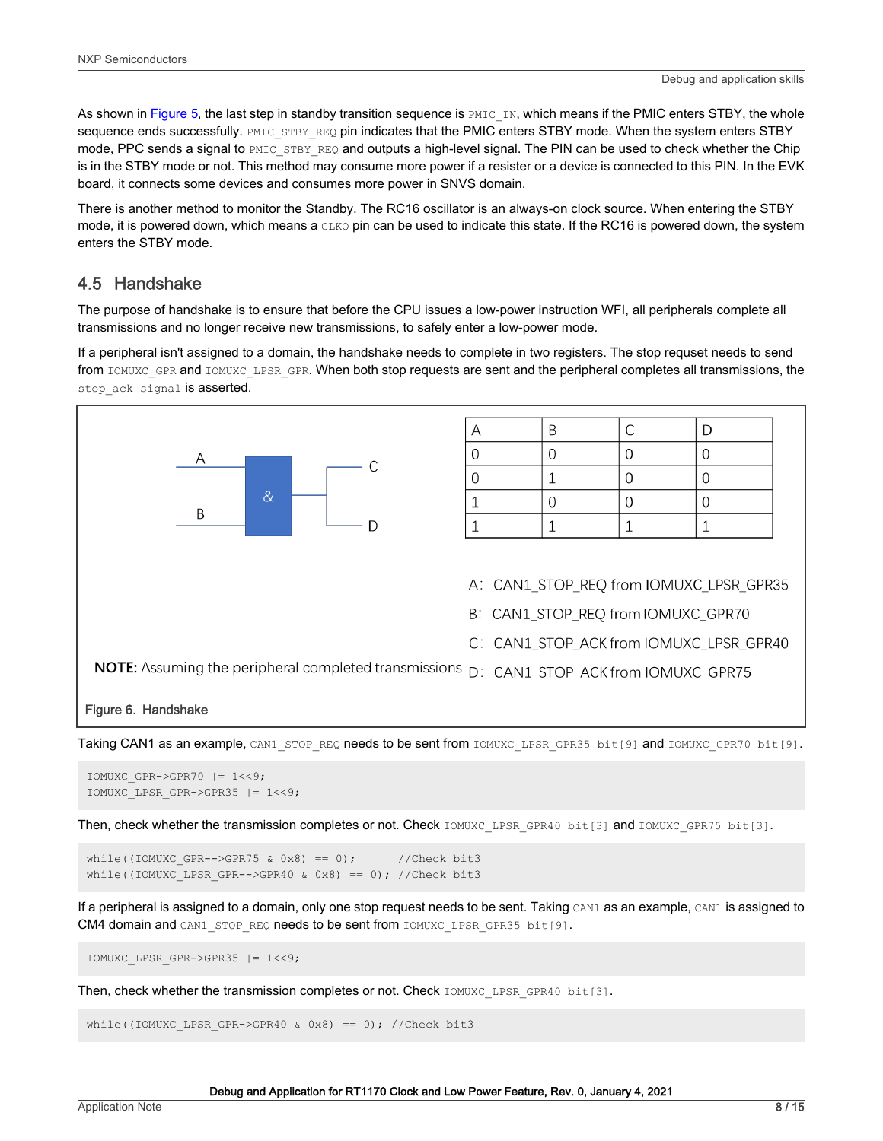<span id="page-7-0"></span>As shown in [Figure 5](#page-6-0), the last step in standby transition sequence is  $PMIC$  IN, which means if the PMIC enters STBY, the whole sequence ends successfully. PMIC\_STBY\_REQ pin indicates that the PMIC enters STBY mode. When the system enters STBY mode, PPC sends a signal to PMIC\_STBY\_REQ and outputs a high-level signal. The PIN can be used to check whether the Chip is in the STBY mode or not. This method may consume more power if a resister or a device is connected to this PIN. In the EVK board, it connects some devices and consumes more power in SNVS domain.

There is another method to monitor the Standby. The RC16 oscillator is an always-on clock source. When entering the STBY mode, it is powered down, which means a CLKO pin can be used to indicate this state. If the RC16 is powered down, the system enters the STBY mode.

#### 4.5 Handshake

The purpose of handshake is to ensure that before the CPU issues a low-power instruction WFI, all peripherals complete all transmissions and no longer receive new transmissions, to safely enter a low-power mode.

If a peripheral isn't assigned to a domain, the handshake needs to complete in two registers. The stop requset needs to send from IOMUXC\_GPR and IOMUXC\_LPSR\_GPR. When both stop requests are sent and the peripheral completes all transmissions, the stop ack signal is asserted.



Taking CAN1 as an example, CAN1\_STOP\_REQ needs to be sent from IOMUXC\_LPSR\_GPR35 bit[9] and IOMUXC\_GPR70 bit[9].

```
IOMUXC GPR->GPR70 |= 1<<9;
IOMUXC_LPSR_GPR->GPR35 |= 1<<9;
```
Then, check whether the transmission completes or not. Check IOMUXC LPSR GPR40 bit[3] and IOMUXC GPR75 bit[3].

```
while((IOMUXC GPR-->GPR75 & 0x8) == 0); //Check bit3
while((IOMUXC LPSR GPR-->GPR40 & 0x8) == 0); //Check bit3
```
If a peripheral is assigned to a domain, only one stop request needs to be sent. Taking CAN1 as an example, CAN1 is assigned to CM4 domain and CAN1\_STOP\_REQ needs to be sent from IOMUXC\_LPSR\_GPR35 bit[9].

IOMUXC\_LPSR\_GPR->GPR35 |= 1<<9;

Then, check whether the transmission completes or not. Check IOMUXC LPSR GPR40 bit[3].

while((IOMUXC LPSR GPR->GPR40 & 0x8) == 0); //Check bit3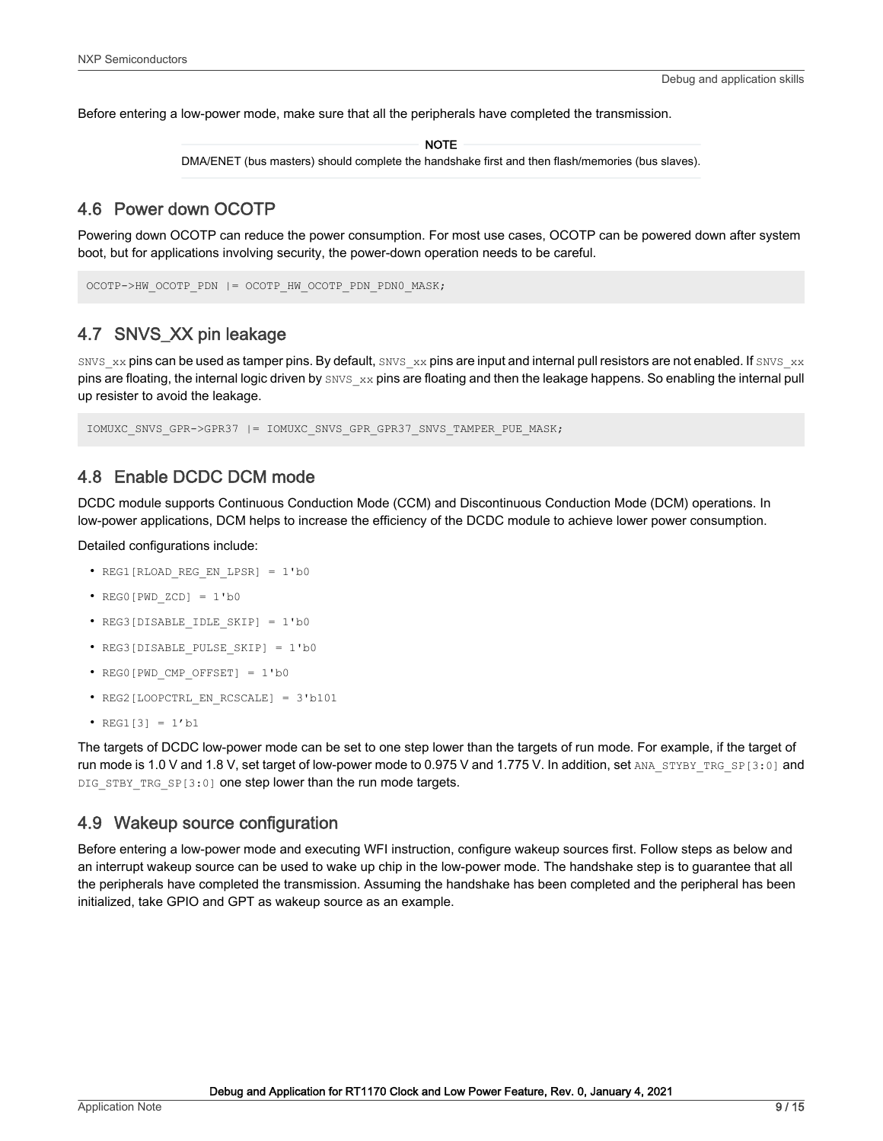<span id="page-8-0"></span>Before entering a low-power mode, make sure that all the peripherals have completed the transmission.

**NOTE** 

DMA/ENET (bus masters) should complete the handshake first and then flash/memories (bus slaves).

#### 4.6 Power down OCOTP

Powering down OCOTP can reduce the power consumption. For most use cases, OCOTP can be powered down after system boot, but for applications involving security, the power-down operation needs to be careful.

```
OCOTP->HW_OCOTP_PDN |= OCOTP_HW_OCOTP_PDN_PDN0_MASK;
```
#### 4.7 SNVS\_XX pin leakage

SNVS  $xx$  pins can be used as tamper pins. By default, SNVS  $xx$  pins are input and internal pull resistors are not enabled. If SNVS  $xx$ pins are floating, the internal logic driven by SNVS xx pins are floating and then the leakage happens. So enabling the internal pull up resister to avoid the leakage.

IOMUXC SNVS GPR->GPR37 |= IOMUXC SNVS GPR GPR37 SNVS TAMPER PUE MASK;

#### 4.8 Enable DCDC DCM mode

DCDC module supports Continuous Conduction Mode (CCM) and Discontinuous Conduction Mode (DCM) operations. In low-power applications, DCM helps to increase the efficiency of the DCDC module to achieve lower power consumption.

Detailed configurations include:

- REG1[RLOAD REG\_EN\_LPSR] = 1'b0
- $REG0[PWDZCD] = 1'b0$
- REG3[DISABLE IDLE SKIP] = 1'b0
- REG3[DISABLE\_PULSE\_SKIP] = 1'b0
- REG0[PWD\_CMP\_OFFSET] = 1'b0
- REG2[LOOPCTRL EN RCSCALE] = 3'b101
- $REG1[3] = 1'b1$

The targets of DCDC low-power mode can be set to one step lower than the targets of run mode. For example, if the target of run mode is 1.0 V and 1.8 V, set target of low-power mode to 0.975 V and 1.775 V. In addition, set ANA\_STYBY\_TRG\_SP[3:0] and DIG STBY TRG SP[3:0] one step lower than the run mode targets.

#### 4.9 Wakeup source configuration

Before entering a low-power mode and executing WFI instruction, configure wakeup sources first. Follow steps as below and an interrupt wakeup source can be used to wake up chip in the low-power mode. The handshake step is to guarantee that all the peripherals have completed the transmission. Assuming the handshake has been completed and the peripheral has been initialized, take GPIO and GPT as wakeup source as an example.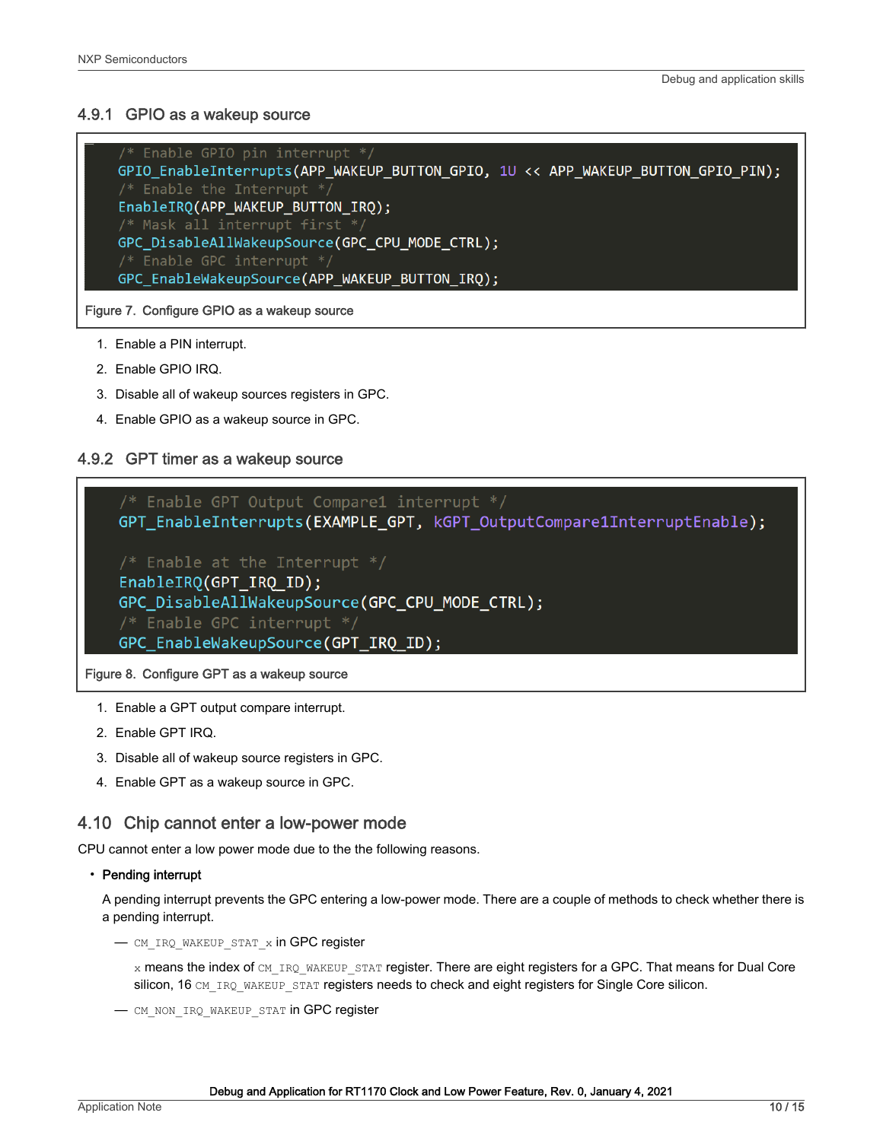#### <span id="page-9-0"></span>4.9.1 GPIO as a wakeup source

```
/* Enable GPIO pin interrupt */
GPIO EnableInterrupts(APP WAKEUP BUTTON GPIO, 1U << APP WAKEUP BUTTON GPIO PIN);
EnableIRQ(APP_WAKEUP_BUTTON_IRQ);
/* Mask all interrupt first *GPC DisableAllWakeupSource(GPC CPU MODE CTRL);
/* Enable GPC interrupt */
GPC_EnableWakeupSource(APP_WAKEUP_BUTTON_IRQ);
```
Figure 7. Configure GPIO as a wakeup source

- 1. Enable a PIN interrupt.
- 2. Enable GPIO IRQ.
- 3. Disable all of wakeup sources registers in GPC.
- 4. Enable GPIO as a wakeup source in GPC.

#### 4.9.2 GPT timer as a wakeup source

/\* Enable GPT Output Compare1 interrupt \*/ GPT\_EnableInterrupts(EXAMPLE\_GPT, kGPT\_OutputCompare1InterruptEnable);  $/*$  Enable at the Interrupt  $*/$ EnableIRQ(GPT\_IRQ\_ID); GPC\_DisableAllWakeupSource(GPC\_CPU\_MODE\_CTRL); /\* Enable GPC interrupt \*/ GPC EnableWakeupSource(GPT IRQ ID);

Figure 8. Configure GPT as a wakeup source

- 1. Enable a GPT output compare interrupt.
- 2. Enable GPT IRQ.
- 3. Disable all of wakeup source registers in GPC.
- 4. Enable GPT as a wakeup source in GPC.

#### 4.10 Chip cannot enter a low-power mode

CPU cannot enter a low power mode due to the the following reasons.

#### • Pending interrupt

A pending interrupt prevents the GPC entering a low-power mode. There are a couple of methods to check whether there is a pending interrupt.

— CM\_IRQ\_WAKEUP\_STAT\_x in GPC register

x means the index of CM\_IRQ\_WAKEUP\_STAT register. There are eight registers for a GPC. That means for Dual Core silicon, 16 CM\_IRQ\_WAKEUP\_STAT registers needs to check and eight registers for Single Core silicon.

- CM\_NON\_IRQ\_WAKEUP\_STAT in GPC register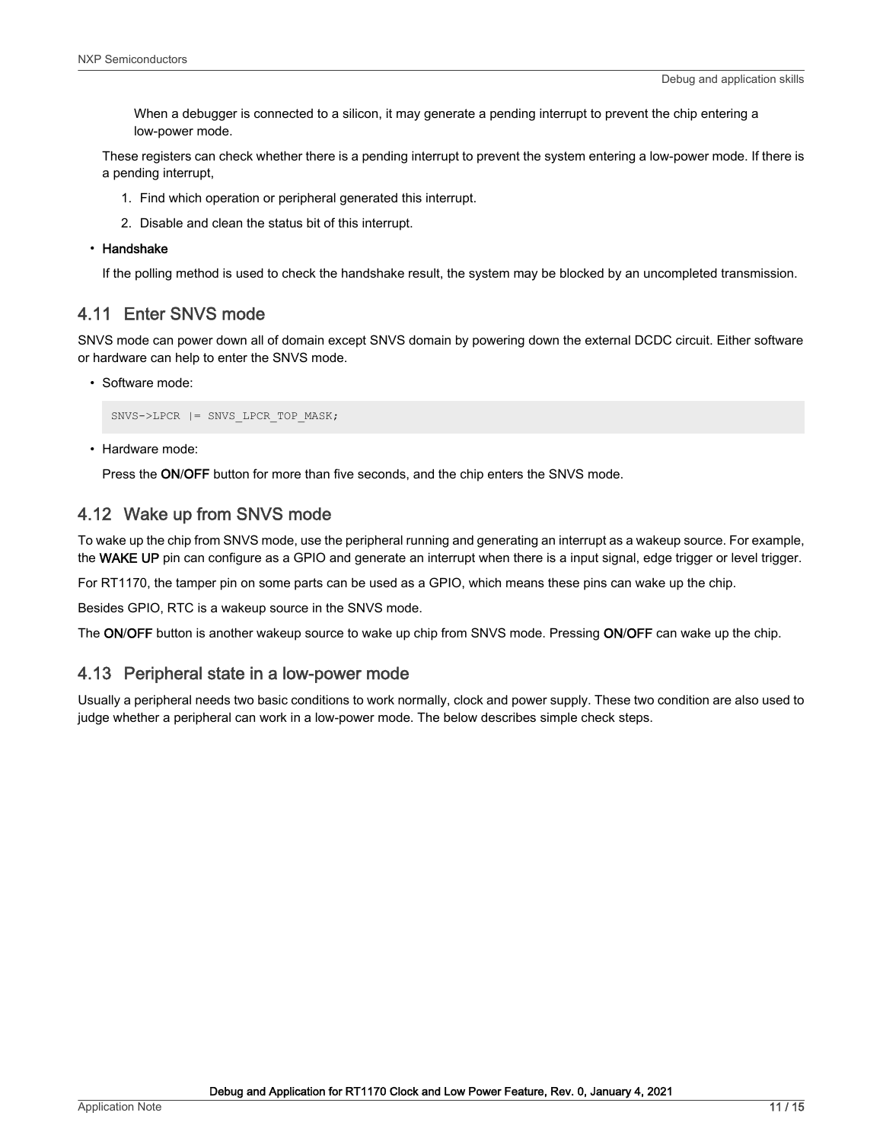<span id="page-10-0"></span>When a debugger is connected to a silicon, it may generate a pending interrupt to prevent the chip entering a low-power mode.

These registers can check whether there is a pending interrupt to prevent the system entering a low-power mode. If there is a pending interrupt,

- 1. Find which operation or peripheral generated this interrupt.
- 2. Disable and clean the status bit of this interrupt.

#### • Handshake

If the polling method is used to check the handshake result, the system may be blocked by an uncompleted transmission.

#### 4.11 Enter SNVS mode

SNVS mode can power down all of domain except SNVS domain by powering down the external DCDC circuit. Either software or hardware can help to enter the SNVS mode.

• Software mode:

```
SNVS->LPCR |= SNVS_LPCR_TOP_MASK;
```
• Hardware mode:

Press the ON/OFF button for more than five seconds, and the chip enters the SNVS mode.

### 4.12 Wake up from SNVS mode

To wake up the chip from SNVS mode, use the peripheral running and generating an interrupt as a wakeup source. For example, the WAKE UP pin can configure as a GPIO and generate an interrupt when there is a input signal, edge trigger or level trigger.

For RT1170, the tamper pin on some parts can be used as a GPIO, which means these pins can wake up the chip.

Besides GPIO, RTC is a wakeup source in the SNVS mode.

The ON/OFF button is another wakeup source to wake up chip from SNVS mode. Pressing ON/OFF can wake up the chip.

#### 4.13 Peripheral state in a low-power mode

Usually a peripheral needs two basic conditions to work normally, clock and power supply. These two condition are also used to judge whether a peripheral can work in a low-power mode. The below describes simple check steps.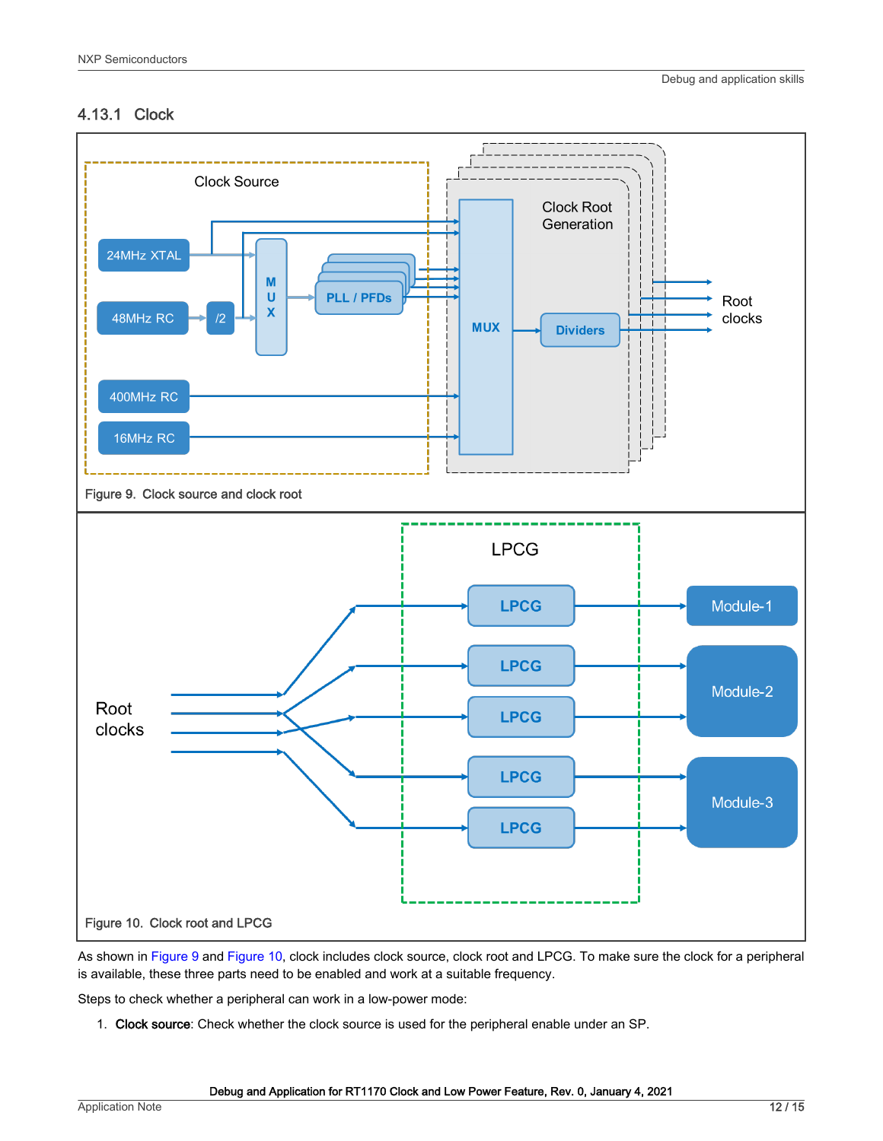#### 4.13.1 Clock



As shown in Figure 9 and Figure 10, clock includes clock source, clock root and LPCG. To make sure the clock for a peripheral is available, these three parts need to be enabled and work at a suitable frequency.

Steps to check whether a peripheral can work in a low-power mode:

1. Clock source: Check whether the clock source is used for the peripheral enable under an SP.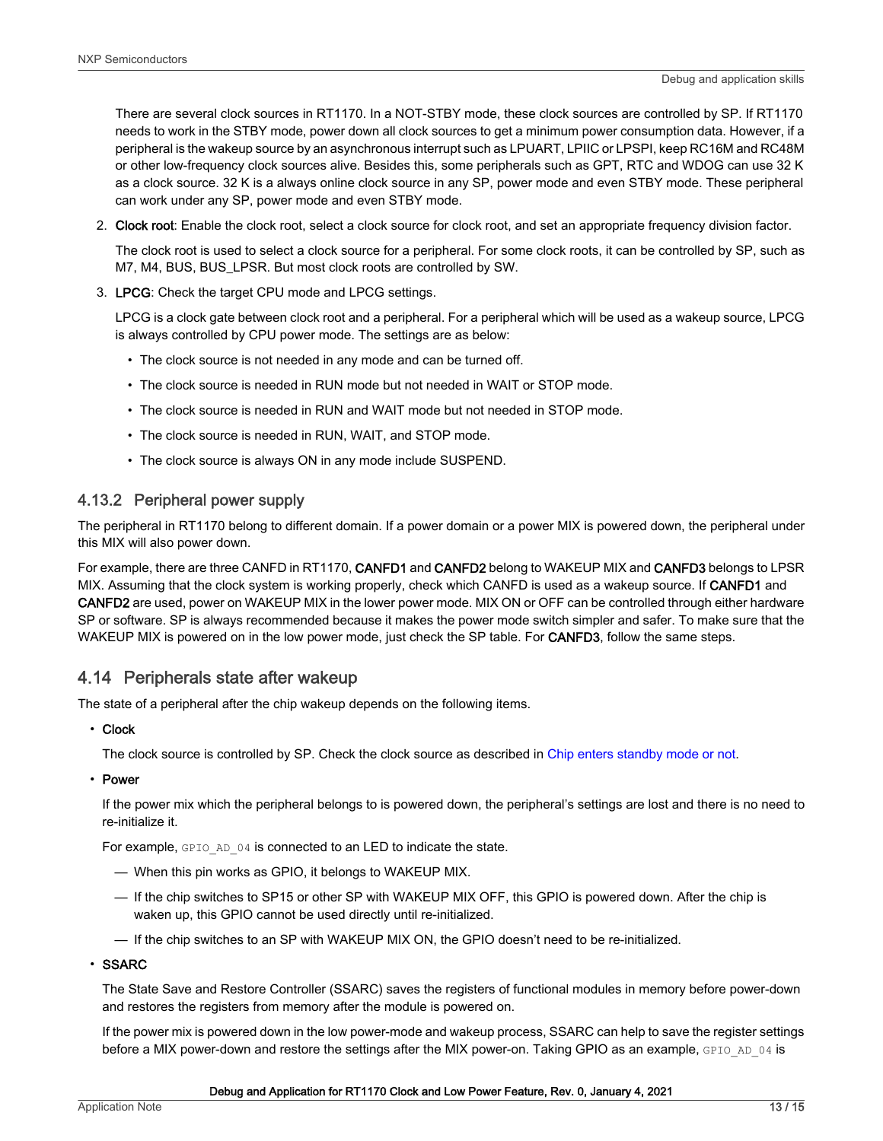<span id="page-12-0"></span>There are several clock sources in RT1170. In a NOT-STBY mode, these clock sources are controlled by SP. If RT1170 needs to work in the STBY mode, power down all clock sources to get a minimum power consumption data. However, if a peripheral is the wakeup source by an asynchronous interrupt such as LPUART, LPIIC or LPSPI, keep RC16M and RC48M or other low-frequency clock sources alive. Besides this, some peripherals such as GPT, RTC and WDOG can use 32 K as a clock source. 32 K is a always online clock source in any SP, power mode and even STBY mode. These peripheral can work under any SP, power mode and even STBY mode.

2. Clock root: Enable the clock root, select a clock source for clock root, and set an appropriate frequency division factor.

The clock root is used to select a clock source for a peripheral. For some clock roots, it can be controlled by SP, such as M7, M4, BUS, BUS\_LPSR. But most clock roots are controlled by SW.

3. LPCG: Check the target CPU mode and LPCG settings.

LPCG is a clock gate between clock root and a peripheral. For a peripheral which will be used as a wakeup source, LPCG is always controlled by CPU power mode. The settings are as below:

- The clock source is not needed in any mode and can be turned off.
- The clock source is needed in RUN mode but not needed in WAIT or STOP mode.
- The clock source is needed in RUN and WAIT mode but not needed in STOP mode.
- The clock source is needed in RUN, WAIT, and STOP mode.
- The clock source is always ON in any mode include SUSPEND.

#### 4.13.2 Peripheral power supply

The peripheral in RT1170 belong to different domain. If a power domain or a power MIX is powered down, the peripheral under this MIX will also power down.

For example, there are three CANFD in RT1170, CANFD1 and CANFD2 belong to WAKEUP MIX and CANFD3 belongs to LPSR MIX. Assuming that the clock system is working properly, check which CANFD is used as a wakeup source. If **CANFD1** and CANFD2 are used, power on WAKEUP MIX in the lower power mode. MIX ON or OFF can be controlled through either hardware SP or software. SP is always recommended because it makes the power mode switch simpler and safer. To make sure that the WAKEUP MIX is powered on in the low power mode, just check the SP table. For **CANFD3**, follow the same steps.

#### 4.14 Peripherals state after wakeup

The state of a peripheral after the chip wakeup depends on the following items.

#### • Clock

The clock source is controlled by SP. Check the clock source as described in [Chip enters standby mode or not](#page-6-0).

• Power

If the power mix which the peripheral belongs to is powered down, the peripheral's settings are lost and there is no need to re-initialize it.

For example, GPIO AD 04 is connected to an LED to indicate the state.

- When this pin works as GPIO, it belongs to WAKEUP MIX.
- If the chip switches to SP15 or other SP with WAKEUP MIX OFF, this GPIO is powered down. After the chip is waken up, this GPIO cannot be used directly until re-initialized.
- If the chip switches to an SP with WAKEUP MIX ON, the GPIO doesn't need to be re-initialized.

#### • SSARC

The State Save and Restore Controller (SSARC) saves the registers of functional modules in memory before power-down and restores the registers from memory after the module is powered on.

If the power mix is powered down in the low power-mode and wakeup process, SSARC can help to save the register settings before a MIX power-down and restore the settings after the MIX power-on. Taking GPIO as an example, GPIO AD 04 is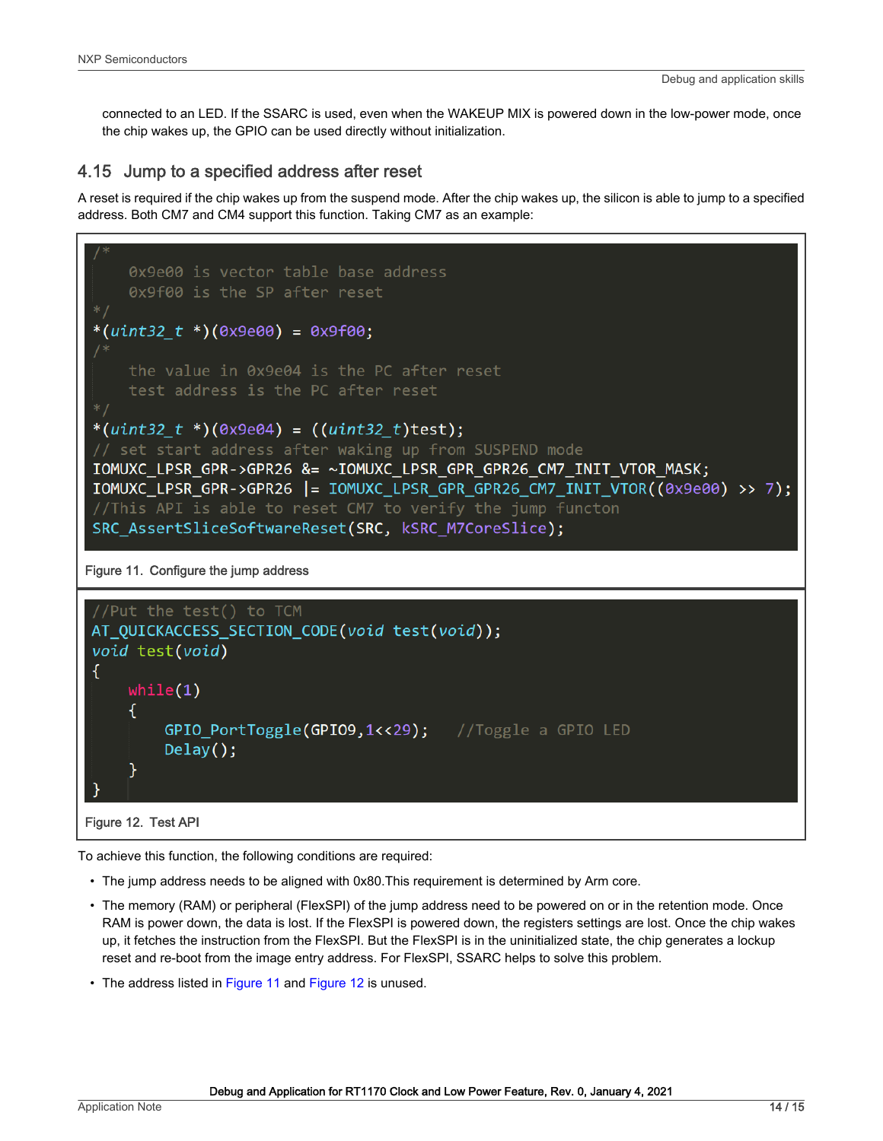<span id="page-13-0"></span>connected to an LED. If the SSARC is used, even when the WAKEUP MIX is powered down in the low-power mode, once the chip wakes up, the GPIO can be used directly without initialization.

#### 4.15 Jump to a specified address after reset

A reset is required if the chip wakes up from the suspend mode. After the chip wakes up, the silicon is able to jump to a specified address. Both CM7 and CM4 support this function. Taking CM7 as an example:



To achieve this function, the following conditions are required:

- The jump address needs to be aligned with 0x80.This requirement is determined by Arm core.
- The memory (RAM) or peripheral (FlexSPI) of the jump address need to be powered on or in the retention mode. Once RAM is power down, the data is lost. If the FlexSPI is powered down, the registers settings are lost. Once the chip wakes up, it fetches the instruction from the FlexSPI. But the FlexSPI is in the uninitialized state, the chip generates a lockup reset and re-boot from the image entry address. For FlexSPI, SSARC helps to solve this problem.
- The address listed in Figure 11 and Figure 12 is unused.